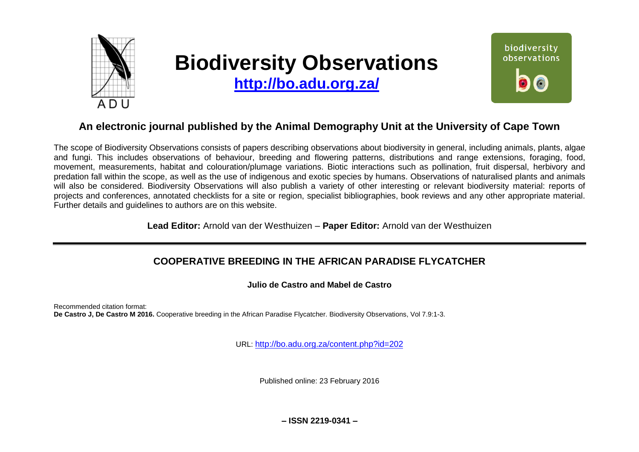

# **Biodiversity Observations**

**<http://bo.adu.org.za/>**



## **An electronic journal published by the Animal Demography Unit at the University of Cape Town**

The scope of Biodiversity Observations consists of papers describing observations about biodiversity in general, including animals, plants, algae and fungi. This includes observations of behaviour, breeding and flowering patterns, distributions and range extensions, foraging, food, movement, measurements, habitat and colouration/plumage variations. Biotic interactions such as pollination, fruit dispersal, herbivory and predation fall within the scope, as well as the use of indigenous and exotic species by humans. Observations of naturalised plants and animals will also be considered. Biodiversity Observations will also publish a variety of other interesting or relevant biodiversity material: reports of projects and conferences, annotated checklists for a site or region, specialist bibliographies, book reviews and any other appropriate material. Further details and guidelines to authors are on this website.

**Lead Editor:** Arnold van der Westhuizen – **Paper Editor:** Arnold van der Westhuizen

## **COOPERATIVE BREEDING IN THE AFRICAN PARADISE FLYCATCHER**

**Julio de Castro and Mabel de Castro**

Recommended citation format: **De Castro J, De Castro M 2016.** Cooperative breeding in the African Paradise Flycatcher. Biodiversity Observations, Vol 7.9:1-3.

URL: <http://bo.adu.org.za/content.php?id=202>

Published online: 23 February 2016

**– ISSN 2219-0341 –**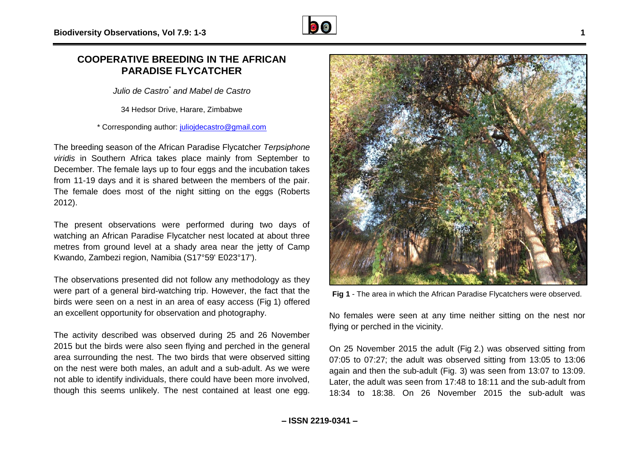### **COOPERATIVE BREEDING IN THE AFRICAN PARADISE FLYCATCHER**

*Julio de Castro \* and Mabel de Castro*

34 Hedsor Drive, Harare, Zimbabwe

\* Corresponding author: [juliojdecastro@gmail.com](mailto:juliojdecastro@gmail.com)

The breeding season of the African Paradise Flycatcher *Terpsiphone viridis* in Southern Africa takes place mainly from September to December. The female lays up to four eggs and the incubation takes from 11-19 days and it is shared between the members of the pair. The female does most of the night sitting on the eggs (Roberts 2012).

The present observations were performed during two days of watching an African Paradise Flycatcher nest located at about three metres from ground level at a shady area near the jetty of Camp Kwando, Zambezi region, Namibia (S17°59' E023°17').

The observations presented did not follow any methodology as they were part of a general bird-watching trip. However, the fact that the birds were seen on a nest in an area of easy access (Fig 1) offered an excellent opportunity for observation and photography.

The activity described was observed during 25 and 26 November 2015 but the birds were also seen flying and perched in the general area surrounding the nest. The two birds that were observed sitting on the nest were both males, an adult and a sub-adult. As we were not able to identify individuals, there could have been more involved, though this seems unlikely. The nest contained at least one egg.

**Fig 1** - The area in which the African Paradise Flycatchers were observed.

No females were seen at any time neither sitting on the nest nor flying or perched in the vicinity.

On 25 November 2015 the adult (Fig 2.) was observed sitting from 07:05 to 07:27; the adult was observed sitting from 13:05 to 13:06 again and then the sub-adult (Fig. 3) was seen from 13:07 to 13:09. Later, the adult was seen from 17:48 to 18:11 and the sub-adult from 18:34 to 18:38. On 26 November 2015 the sub-adult was

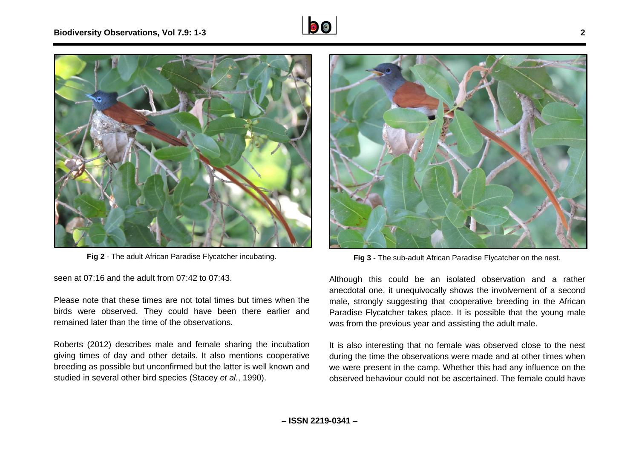



**Fig 2** - The adult African Paradise Flycatcher incubating.

seen at 07:16 and the adult from 07:42 to 07:43.

Please note that these times are not total times but times when the birds were observed. They could have been there earlier and remained later than the time of the observations.

Roberts (2012) describes male and female sharing the incubation giving times of day and other details. It also mentions cooperative breeding as possible but unconfirmed but the latter is well known and studied in several other bird species (Stacey *et al.*, 1990).



**Fig 3** - The sub-adult African Paradise Flycatcher on the nest.

Although this could be an isolated observation and a rather anecdotal one, it unequivocally shows the involvement of a second male, strongly suggesting that cooperative breeding in the African Paradise Flycatcher takes place. It is possible that the young male was from the previous year and assisting the adult male.

It is also interesting that no female was observed close to the nest during the time the observations were made and at other times when we were present in the camp. Whether this had any influence on the observed behaviour could not be ascertained. The female could have